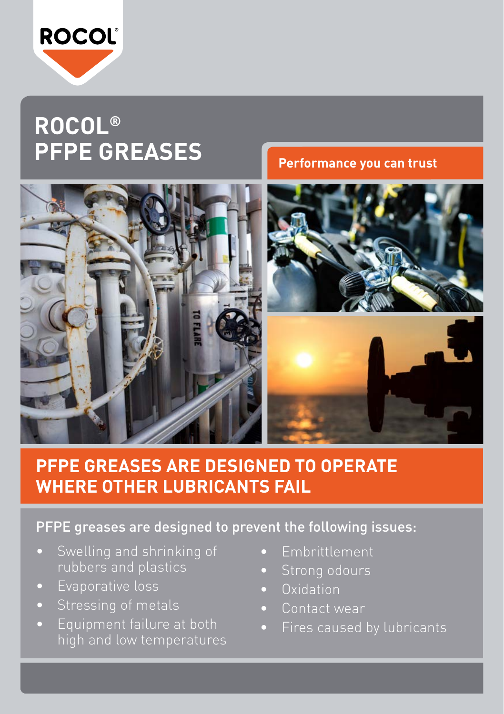

## **ROCOL® PFPE GREASES**

**Performance you can trust**



## **PFPE GREASES ARE DESIGNED TO OPERATE WHERE OTHER LUBRICANTS FAIL**

## PFPE greases are designed to prevent the following issues:

- rubbers and plastics
- • Evaporative loss
- 
- • Equipment failure at both high and low temperatures
- • Embrittlement
- 
- Oxidation
- • Contact wear
- • Fires caused by lubricants